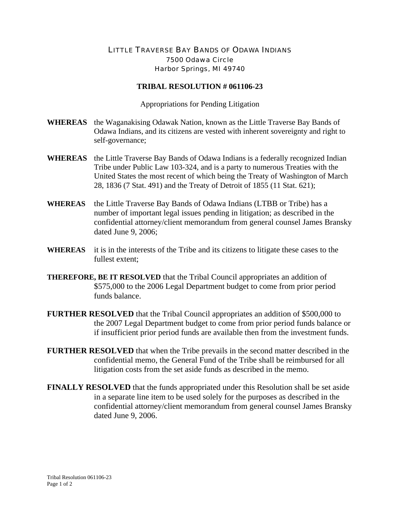## LITTLE TRAVERSE BAY BANDS OF ODAWA INDIANS 7500 Odawa Circle Harbor Springs, MI 49740

## **TRIBAL RESOLUTION # 061106-23**

Appropriations for Pending Litigation

- **WHEREAS** the Waganakising Odawak Nation, known as the Little Traverse Bay Bands of Odawa Indians, and its citizens are vested with inherent sovereignty and right to self-governance;
- **WHEREAS** the Little Traverse Bay Bands of Odawa Indians is a federally recognized Indian Tribe under Public Law 103-324, and is a party to numerous Treaties with the United States the most recent of which being the Treaty of Washington of March 28, 1836 (7 Stat. 491) and the Treaty of Detroit of 1855 (11 Stat. 621);
- **WHEREAS** the Little Traverse Bay Bands of Odawa Indians (LTBB or Tribe) has a number of important legal issues pending in litigation; as described in the confidential attorney/client memorandum from general counsel James Bransky dated June 9, 2006;
- **WHEREAS** it is in the interests of the Tribe and its citizens to litigate these cases to the fullest extent;
- **THEREFORE, BE IT RESOLVED** that the Tribal Council appropriates an addition of \$575,000 to the 2006 Legal Department budget to come from prior period funds balance.
- **FURTHER RESOLVED** that the Tribal Council appropriates an addition of \$500,000 to the 2007 Legal Department budget to come from prior period funds balance or if insufficient prior period funds are available then from the investment funds.
- **FURTHER RESOLVED** that when the Tribe prevails in the second matter described in the confidential memo, the General Fund of the Tribe shall be reimbursed for all litigation costs from the set aside funds as described in the memo.
- **FINALLY RESOLVED** that the funds appropriated under this Resolution shall be set aside in a separate line item to be used solely for the purposes as described in the confidential attorney/client memorandum from general counsel James Bransky dated June 9, 2006.